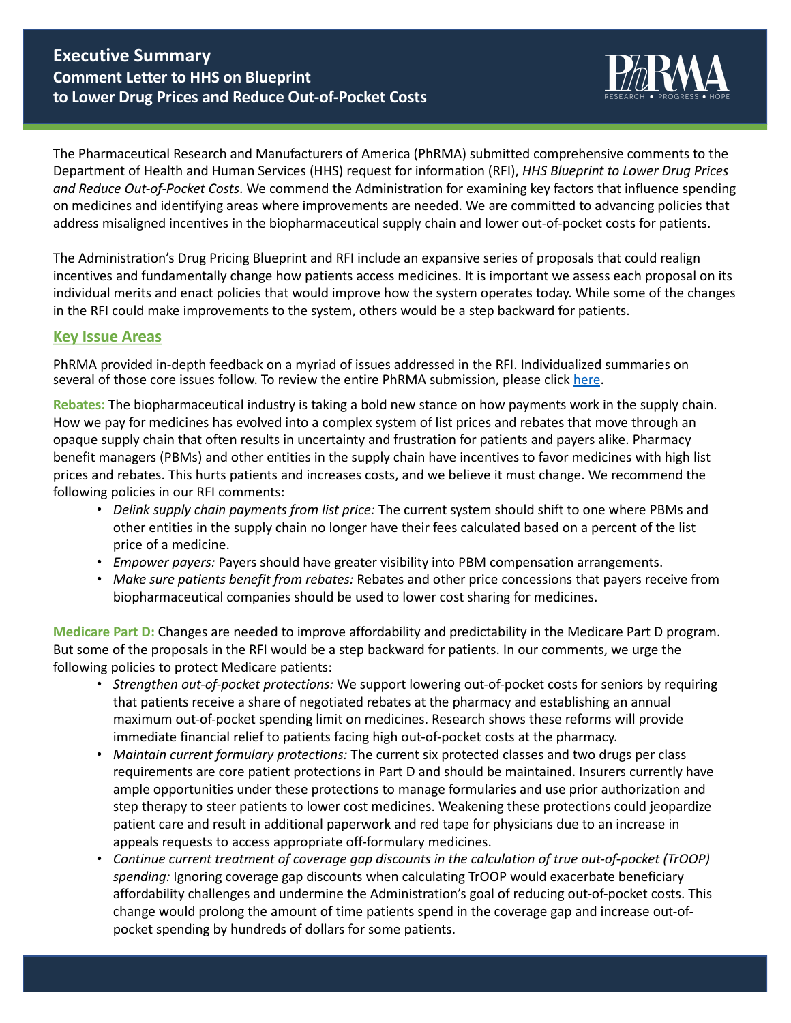## **Executive Summary Comment Letter to HHS on Blueprint** to Lower Drug Prices and Reduce Out-of-Pocket Costs



The Pharmaceutical Research and Manufacturers of America (PhRMA) submitted comprehensive comments to the Department of Health and Human Services (HHS) request for information (RFI), *HHS Blueprint to Lower Drug Prices* and Reduce Out-of-Pocket Costs. We commend the Administration for examining key factors that influence spending on medicines and identifying areas where improvements are needed. We are committed to advancing policies that address misaligned incentives in the biopharmaceutical supply chain and lower out-of-pocket costs for patients.

The Administration's Drug Pricing Blueprint and RFI include an expansive series of proposals that could realign incentives and fundamentally change how patients access medicines. It is important we assess each proposal on its individual merits and enact policies that would improve how the system operates today. While some of the changes in the RFI could make improvements to the system, others would be a step backward for patients.

## **Key Issue Areas**

PhRMA provided in-depth feedback on a myriad of issues addressed in the RFI. Individualized summaries on several of those core issues follow. To review the entire PhRMA submission, please click here.

**Rebates:** The biopharmaceutical industry is taking a bold new stance on how payments work in the supply chain. How we pay for medicines has evolved into a complex system of list prices and rebates that move through an opaque supply chain that often results in uncertainty and frustration for patients and payers alike. Pharmacy benefit managers (PBMs) and other entities in the supply chain have incentives to favor medicines with high list prices and rebates. This hurts patients and increases costs, and we believe it must change. We recommend the following policies in our RFI comments:

- *Delink supply chain payments from list price:* The current system should shift to one where PBMs and other entities in the supply chain no longer have their fees calculated based on a percent of the list price of a medicine.
- *Empower payers:* Payers should have greater visibility into PBM compensation arrangements.
- *Make sure patients benefit from rebates:* Rebates and other price concessions that payers receive from biopharmaceutical companies should be used to lower cost sharing for medicines.

**Medicare Part D:** Changes are needed to improve affordability and predictability in the Medicare Part D program. But some of the proposals in the RFI would be a step backward for patients. In our comments, we urge the following policies to protect Medicare patients:

- *Strengthen out-of-pocket protections:* We support lowering out-of-pocket costs for seniors by requiring that patients receive a share of negotiated rebates at the pharmacy and establishing an annual maximum out-of-pocket spending limit on medicines. Research shows these reforms will provide immediate financial relief to patients facing high out-of-pocket costs at the pharmacy.
- *Maintain current formulary protections:* The current six protected classes and two drugs per class requirements are core patient protections in Part D and should be maintained. Insurers currently have ample opportunities under these protections to manage formularies and use prior authorization and step therapy to steer patients to lower cost medicines. Weakening these protections could jeopardize patient care and result in additional paperwork and red tape for physicians due to an increase in appeals requests to access appropriate off-formulary medicines.
- Continue current treatment of coverage gap discounts in the calculation of true out-of-pocket (TrOOP) spending: Ignoring coverage gap discounts when calculating TrOOP would exacerbate beneficiary affordability challenges and undermine the Administration's goal of reducing out-of-pocket costs. This change would prolong the amount of time patients spend in the coverage gap and increase out-ofpocket spending by hundreds of dollars for some patients.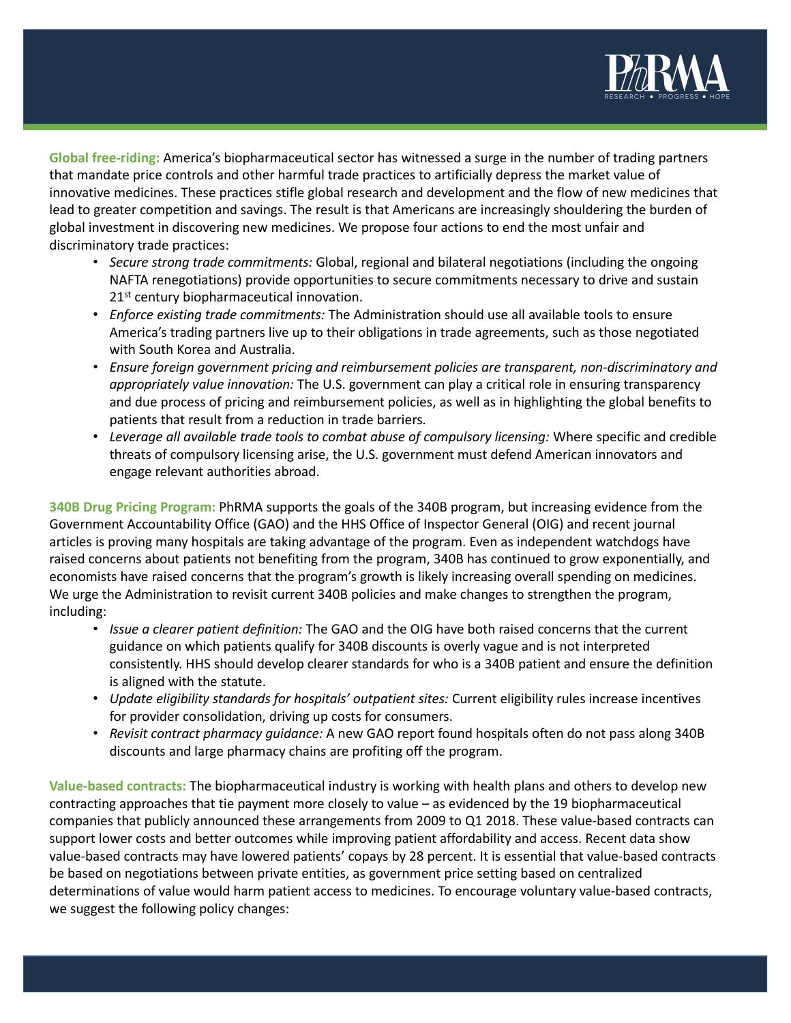

Global free-riding: America's biopharmaceutical sector has witnessed a surge in the number of trading partners that mandate price controls and other harmful trade practices to artificially depress the market value of innovative medicines. These practices stifle global research and development and the flow of new medicines that lead to greater competition and savings. The result is that Americans are increasingly shouldering the burden of global investment in discovering new medicines. We propose four actions to end the most unfair and discriminatory trade practices:

- *Secure strong trade commitments:* Global, regional and bilateral negotiations (including the ongoing NAFTA renegotiations) provide opportunities to secure commitments necessary to drive and sustain 21<sup>st</sup> century biopharmaceutical innovation.
- *Enforce existing trade commitments:* The Administration should use all available tools to ensure America's trading partners live up to their obligations in trade agreements, such as those negotiated with South Korea and Australia.
- Ensure foreign government pricing and reimbursement policies are transparent, non-discriminatory and *appropriately value innovation:* The U.S. government can play a critical role in ensuring transparency and due process of pricing and reimbursement policies, as well as in highlighting the global benefits to patients that result from a reduction in trade barriers.
- Leverage all available trade tools to combat abuse of compulsory licensing: Where specific and credible threats of compulsory licensing arise, the U.S. government must defend American innovators and engage relevant authorities abroad.

**340B** Drug Pricing Program: PhRMA supports the goals of the 340B program, but increasing evidence from the Government Accountability Office (GAO) and the HHS Office of Inspector General (OIG) and recent journal articles is proving many hospitals are taking advantage of the program. Even as independent watchdogs have raised concerns about patients not benefiting from the program, 340B has continued to grow exponentially, and economists have raised concerns that the program's growth is likely increasing overall spending on medicines. We urge the Administration to revisit current 340B policies and make changes to strengthen the program, including: 

- *Issue a clearer patient definition:* The GAO and the OIG have both raised concerns that the current guidance on which patients qualify for 340B discounts is overly vague and is not interpreted consistently. HHS should develop clearer standards for who is a 340B patient and ensure the definition is aligned with the statute.
- *Update eligibility standards for hospitals' outpatient sites:* Current eligibility rules increase incentives for provider consolidation, driving up costs for consumers.
- *Revisit contract pharmacy quidance:* A new GAO report found hospitals often do not pass along 340B discounts and large pharmacy chains are profiting off the program.

**Value-based contracts:** The biopharmaceutical industry is working with health plans and others to develop new contracting approaches that tie payment more closely to value – as evidenced by the 19 biopharmaceutical companies that publicly announced these arrangements from 2009 to Q1 2018. These value-based contracts can support lower costs and better outcomes while improving patient affordability and access. Recent data show value-based contracts may have lowered patients' copays by 28 percent. It is essential that value-based contracts be based on negotiations between private entities, as government price setting based on centralized determinations of value would harm patient access to medicines. To encourage voluntary value-based contracts, we suggest the following policy changes: